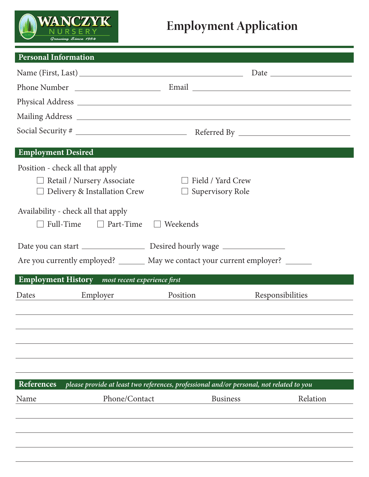

## **Employment Application**

| <b>Personal Information</b> |                                                               | and the state of the state of the state of the state of the state of the state of the state of the state of th |                                                                                          |  |  |
|-----------------------------|---------------------------------------------------------------|----------------------------------------------------------------------------------------------------------------|------------------------------------------------------------------------------------------|--|--|
|                             |                                                               |                                                                                                                |                                                                                          |  |  |
|                             |                                                               |                                                                                                                |                                                                                          |  |  |
|                             |                                                               |                                                                                                                |                                                                                          |  |  |
|                             |                                                               |                                                                                                                |                                                                                          |  |  |
|                             |                                                               |                                                                                                                |                                                                                          |  |  |
| <b>Employment Desired</b>   |                                                               |                                                                                                                |                                                                                          |  |  |
|                             | Position - check all that apply                               |                                                                                                                |                                                                                          |  |  |
|                             | $\Box$ Field / Yard Crew<br>$\Box$ Retail / Nursery Associate |                                                                                                                |                                                                                          |  |  |
|                             | $\Box$ Delivery & Installation Crew                           | $\Box$ Supervisory Role                                                                                        |                                                                                          |  |  |
|                             | Availability - check all that apply                           |                                                                                                                |                                                                                          |  |  |
|                             | Full-Time □ Part-Time □ Weekends                              |                                                                                                                |                                                                                          |  |  |
|                             |                                                               |                                                                                                                |                                                                                          |  |  |
|                             |                                                               |                                                                                                                | Are you currently employed? _______ May we contact your current employer? ______         |  |  |
|                             |                                                               |                                                                                                                |                                                                                          |  |  |
|                             | Employment History most recent experience first               |                                                                                                                |                                                                                          |  |  |
| Dates                       | Employer                                                      | Position                                                                                                       | Responsibilities                                                                         |  |  |
|                             |                                                               |                                                                                                                |                                                                                          |  |  |
|                             |                                                               |                                                                                                                |                                                                                          |  |  |
|                             |                                                               |                                                                                                                |                                                                                          |  |  |
|                             |                                                               |                                                                                                                |                                                                                          |  |  |
|                             |                                                               |                                                                                                                |                                                                                          |  |  |
| References                  |                                                               |                                                                                                                | please provide at least two references, professional and/or personal, not related to you |  |  |
| Name                        | Phone/Contact                                                 |                                                                                                                | Relation<br><b>Business</b>                                                              |  |  |
|                             |                                                               |                                                                                                                |                                                                                          |  |  |
|                             |                                                               |                                                                                                                |                                                                                          |  |  |
|                             |                                                               |                                                                                                                |                                                                                          |  |  |
|                             |                                                               |                                                                                                                |                                                                                          |  |  |